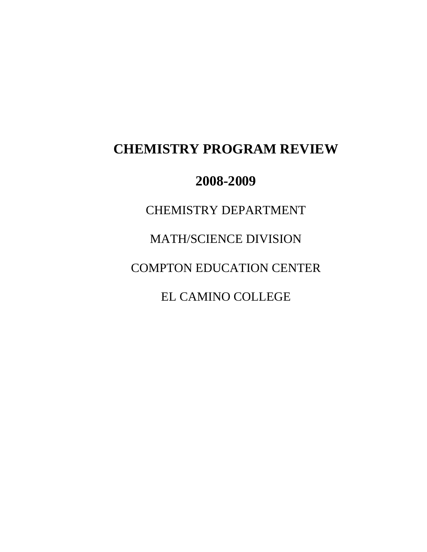# **CHEMISTRY PROGRAM REVIEW**

## **2008-2009**

CHEMISTRY DEPARTMENT MATH/SCIENCE DIVISION COMPTON EDUCATION CENTER EL CAMINO COLLEGE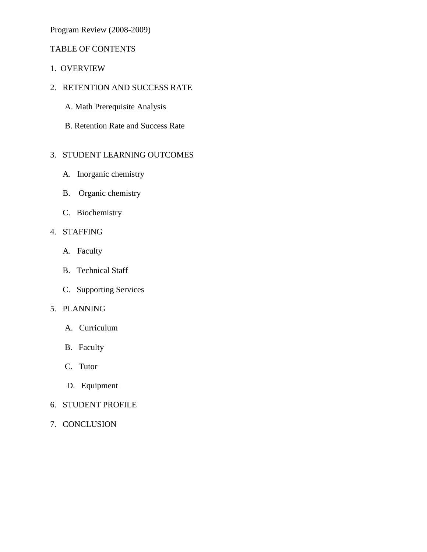Program Review (2008-2009)

## TABLE OF CONTENTS

- 1. OVERVIEW
- 2. RETENTION AND SUCCESS RATE
	- A. Math Prerequisite Analysis
	- B. Retention Rate and Success Rate

## 3. STUDENT LEARNING OUTCOMES

- A. Inorganic chemistry
- B. Organic chemistry
- C. Biochemistry

## 4. STAFFING

- A. Faculty
- B. Technical Staff
- C. Supporting Services

## 5. PLANNING

- A. Curriculum
- B. Faculty
- C. Tutor
- D. Equipment
- 6. STUDENT PROFILE
- 7. CONCLUSION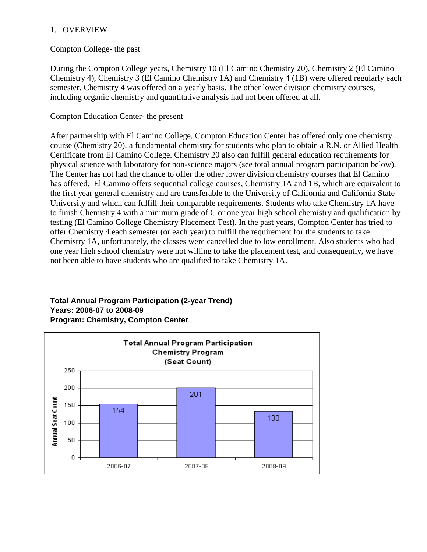#### 1. OVERVIEW

#### Compton College- the past

During the Compton College years, Chemistry 10 (El Camino Chemistry 20), Chemistry 2 (El Camino Chemistry 4), Chemistry 3 (El Camino Chemistry 1A) and Chemistry 4 (1B) were offered regularly each semester. Chemistry 4 was offered on a yearly basis. The other lower division chemistry courses, including organic chemistry and quantitative analysis had not been offered at all.

#### Compton Education Center- the present

After partnership with El Camino College, Compton Education Center has offered only one chemistry course (Chemistry 20), a fundamental chemistry for students who plan to obtain a R.N. or Allied Health Certificate from El Camino College. Chemistry 20 also can fulfill general education requirements for physical science with laboratory for non-science majors (see total annual program participation below). The Center has not had the chance to offer the other lower division chemistry courses that El Camino has offered. El Camino offers sequential college courses, Chemistry 1A and 1B, which are equivalent to the first year general chemistry and are transferable to the University of California and California State University and which can fulfill their comparable requirements. Students who take Chemistry 1A have to finish Chemistry 4 with a minimum grade of C or one year high school chemistry and qualification by testing (El Camino College Chemistry Placement Test). In the past years, Compton Center has tried to offer Chemistry 4 each semester (or each year) to fulfill the requirement for the students to take Chemistry 1A, unfortunately, the classes were cancelled due to low enrollment. Also students who had one year high school chemistry were not willing to take the placement test, and consequently, we have not been able to have students who are qualified to take Chemistry 1A.

#### **Total Annual Program Participation (2-year Trend) Years: 2006-07 to 2008-09 Program: Chemistry, Compton Center**

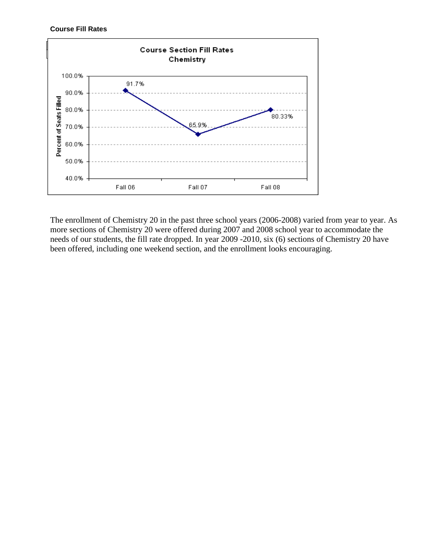**Course Fill Rates**



The enrollment of Chemistry 20 in the past three school years (2006-2008) varied from year to year. As more sections of Chemistry 20 were offered during 2007 and 2008 school year to accommodate the needs of our students, the fill rate dropped. In year 2009 -2010, six (6) sections of Chemistry 20 have been offered, including one weekend section, and the enrollment looks encouraging.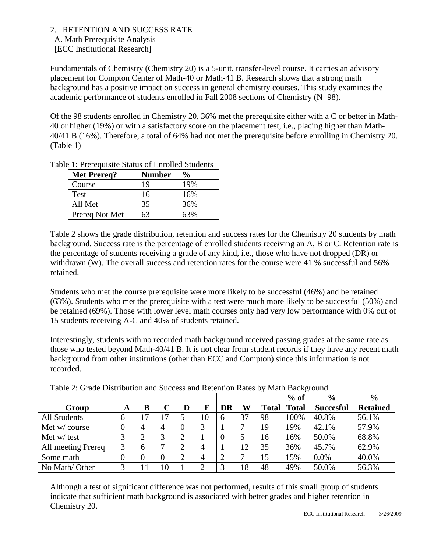#### 2. RETENTION AND SUCCESS RATE

 A. Math Prerequisite Analysis [ECC Institutional Research]

Fundamentals of Chemistry (Chemistry 20) is a 5-unit, transfer-level course. It carries an advisory placement for Compton Center of Math-40 or Math-41 B. Research shows that a strong math background has a positive impact on success in general chemistry courses. This study examines the academic performance of students enrolled in Fall 2008 sections of Chemistry (N=98).

Of the 98 students enrolled in Chemistry 20, 36% met the prerequisite either with a C or better in Math-40 or higher (19%) or with a satisfactory score on the placement test, i.e., placing higher than Math-40/41 B (16%). Therefore, a total of 64% had not met the prerequisite before enrolling in Chemistry 20. (Table 1)

| <b>Met Prereq?</b> | <b>Number</b> | $\frac{0}{0}$ |
|--------------------|---------------|---------------|
| Course             | 19            | 19%           |
| Test               | 16            | 16%           |
| All Met            | 35            | 36%           |
| Prereq Not Met     | 63            | 63%           |

Table 1: Prerequisite Status of Enrolled Students

Table 2 shows the grade distribution, retention and success rates for the Chemistry 20 students by math background. Success rate is the percentage of enrolled students receiving an A, B or C. Retention rate is the percentage of students receiving a grade of any kind, i.e., those who have not dropped (DR) or withdrawn (W). The overall success and retention rates for the course were 41 % successful and 56% retained.

Students who met the course prerequisite were more likely to be successful (46%) and be retained (63%). Students who met the prerequisite with a test were much more likely to be successful (50%) and be retained (69%). Those with lower level math courses only had very low performance with 0% out of 15 students receiving A-C and 40% of students retained.

Interestingly, students with no recorded math background received passing grades at the same rate as those who tested beyond Math-40/41 B. It is not clear from student records if they have any recent math background from other institutions (other than ECC and Compton) since this information is not recorded.

|                     |   |    |                |                |                |                |    |              | $%$ of       | $\frac{0}{0}$    | $\frac{0}{0}$   |
|---------------------|---|----|----------------|----------------|----------------|----------------|----|--------------|--------------|------------------|-----------------|
| Group               | A | B  |                |                |                | <b>DR</b>      | W  | <b>Total</b> | <b>Total</b> | <b>Succesful</b> | <b>Retained</b> |
| <b>All Students</b> | 6 | 17 | 17             |                | 10             | 6              | 37 | 98           | 100%         | 40.8%            | 56.1%           |
| Met w/course        |   |    | 4              |                | 3              |                |    | 19           | 19%          | 42.1%            | 57.9%           |
| Met w/ test         |   |    | 3              | $\overline{2}$ |                | $\overline{0}$ |    | 16           | 16%          | 50.0%            | 68.8%           |
| All meeting Prereq  |   | 6  |                | $\overline{2}$ | 4              |                | 12 | 35           | 36%          | 45.7%            | 62.9%           |
| Some math           |   |    | $\overline{0}$ | $\overline{2}$ | 4              | $\bigcirc$     |    | 15           | 15%          | 0.0%             | 40.0%           |
| No Math/Other       | 3 | 11 | 10             |                | $\overline{2}$ | 3              | 18 | 48           | 49%          | 50.0%            | 56.3%           |

Table 2: Grade Distribution and Success and Retention Rates by Math Background

Although a test of significant difference was not performed, results of this small group of students indicate that sufficient math background is associated with better grades and higher retention in Chemistry 20.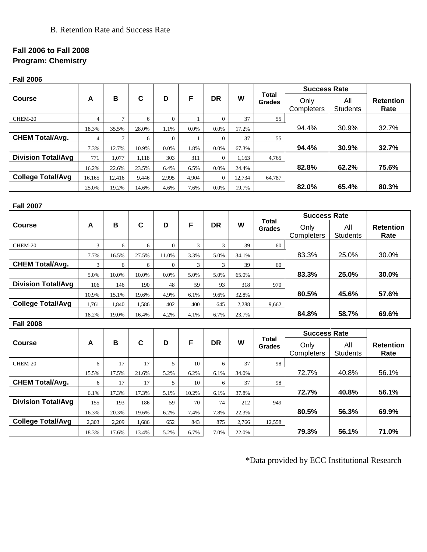## B. Retention Rate and Success Rate

## **Fall 2006 to Fall 2008 Program: Chemistry**

**Fall 2006**

|                           | B<br>$\mathbf c$<br>F<br><b>DR</b><br>D<br>A |                |               |                  |                |                  |        | <b>Total</b>  | <b>Success Rate</b> |                     |                  |  |
|---------------------------|----------------------------------------------|----------------|---------------|------------------|----------------|------------------|--------|---------------|---------------------|---------------------|------------------|--|
| <b>Course</b>             |                                              | W              | <b>Grades</b> | All<br>Only      |                | <b>Retention</b> |        |               |                     |                     |                  |  |
|                           |                                              |                |               |                  |                |                  |        |               | Completers          | <b>Students</b>     | Rate             |  |
| CHEM-20                   | $\overline{4}$                               | $\overline{7}$ | 6             | $\overline{0}$   | $\mathbf{1}$   | $\Omega$         | 37     | 55            |                     |                     |                  |  |
|                           | 18.3%                                        | 35.5%          | 28.0%         | 1.1%             | 0.0%           | 0.0%             | 17.2%  |               | 94.4%               | 30.9%               | 32.7%            |  |
| <b>CHEM Total/Avg.</b>    | $\overline{4}$                               | $\tau$         | 6             | $\boldsymbol{0}$ | $\mathbf{1}$   | $\mathbf{0}$     | 37     | 55            |                     |                     |                  |  |
|                           | 7.3%                                         | 12.7%          | 10.9%         | 0.0%             | 1.8%           | 0.0%             | 67.3%  |               | 94.4%               | 30.9%               | 32.7%            |  |
| <b>Division Total/Avg</b> | 771                                          | 1,077          | 1,118         | 303              | 311            | $\overline{0}$   | 1,163  | 4,765         |                     |                     |                  |  |
|                           | 16.2%                                        | 22.6%          | 23.5%         | 6.4%             | 6.5%           | 0.0%             | 24.4%  |               | 82.8%               | 62.2%               | 75.6%            |  |
| <b>College Total/Avg</b>  | 16,165                                       | 12,416         | 9,446         | 2,995            | 4,904          | $\overline{0}$   | 12,734 | 64,787        |                     |                     |                  |  |
|                           | 25.0%                                        | 19.2%          | 14.6%         | 4.6%             | 7.6%           | 0.0%             | 19.7%  |               | 82.0%               | 65.4%               | 80.3%            |  |
|                           |                                              |                |               |                  |                |                  |        |               |                     |                     |                  |  |
| <b>Fall 2007</b>          |                                              |                |               |                  |                |                  |        |               |                     |                     |                  |  |
|                           |                                              |                |               |                  |                |                  |        | Total         | <b>Success Rate</b> |                     |                  |  |
| <b>Course</b>             | A                                            | В              | $\mathbf c$   | D                | F              | <b>DR</b>        | W      | <b>Grades</b> | Only                | All                 | <b>Retention</b> |  |
|                           |                                              |                |               |                  |                |                  |        |               | Completers          | <b>Students</b>     | Rate             |  |
| CHEM-20                   | $\mathfrak{Z}$                               | 6              | 6             | $\boldsymbol{0}$ | $\overline{3}$ | $\overline{3}$   | 39     | 60            |                     |                     |                  |  |
|                           | 7.7%                                         | 16.5%          | 27.5%         | 11.0%            | 3.3%           | 5.0%             | 34.1%  |               | 83.3%               | 25.0%               | 30.0%            |  |
| <b>CHEM Total/Avg.</b>    | 3                                            | 6              | 6             | $\mathbf{0}$     | 3              | 3                | 39     | 60            |                     |                     |                  |  |
|                           | 5.0%                                         | 10.0%          | 10.0%         | 0.0%             | 5.0%           | 5.0%             | 65.0%  |               | 83.3%               | 25.0%               | 30.0%            |  |
| <b>Division Total/Avg</b> | 106                                          | 146            | 190           | 48               | 59             | 93               | 318    | 970           |                     |                     |                  |  |
|                           | 10.9%                                        | 15.1%          | 19.6%         | 4.9%             | 6.1%           | 9.6%             | 32.8%  |               | 80.5%               | 45.6%               | 57.6%            |  |
| <b>College Total/Avg</b>  | 1,761                                        | 1,840          | 1,586         | 402              | 400            | 645              | 2,288  | 9,662         |                     |                     |                  |  |
|                           | 18.2%                                        | 19.0%          | 16.4%         | 4.2%             | 4.1%           | 6.7%             | 23.7%  |               | 84.8%               | 58.7%               | 69.6%            |  |
| <b>Fall 2008</b>          |                                              |                |               |                  |                |                  |        |               |                     |                     |                  |  |
|                           |                                              |                |               |                  |                |                  |        | Total         |                     | <b>Success Rate</b> |                  |  |
| <b>Course</b>             | A                                            | B              | $\mathbf c$   | D                | F              | <b>DR</b>        | W      | <b>Grades</b> | Only                | All                 | <b>Retention</b> |  |
|                           |                                              |                |               |                  |                |                  |        |               | Completers          | Students            | Rate             |  |
| CHEM-20                   | 6                                            | 17             | 17            | $\mathfrak{S}$   | 10             | 6                | 37     | 98            |                     |                     |                  |  |
|                           | 15.5%                                        | 17.5%          | 21.6%         | 5.2%             | 6.2%           | 6.1%             | 34.0%  |               | 72.7%               | 40.8%               | 56.1%            |  |
| <b>CHEM Total/Avg.</b>    | 6                                            | 17             | 17            | 5                | $10\,$         | 6                | 37     | 98            |                     |                     |                  |  |
|                           | 6.1%                                         | 17.3%          | 17.3%         | 5.1%             | 10.2%          | 6.1%             | 37.8%  |               | 72.7%               | 40.8%               | 56.1%            |  |
| <b>Division Total/Avg</b> | 155                                          | 193            | 186           | 59               | 70             | 74               | 212    | 949           |                     |                     |                  |  |
|                           | 16.3%                                        | 20.3%          | 19.6%         | 6.2%             | 7.4%           | 7.8%             | 22.3%  |               | 80.5%               | 56.3%               | 69.9%            |  |
| <b>College Total/Avg</b>  | 2,303                                        | 2,209          | 1,686         | 652              | 843            | 875              | 2,766  | 12,558        |                     |                     |                  |  |
|                           | 18.3%                                        | 17.6%          | 13.4%         | 5.2%             | 6.7%           | 7.0%             | 22.0%  |               | 79.3%               | 56.1%               | 71.0%            |  |

\*Data provided by ECC Institutional Research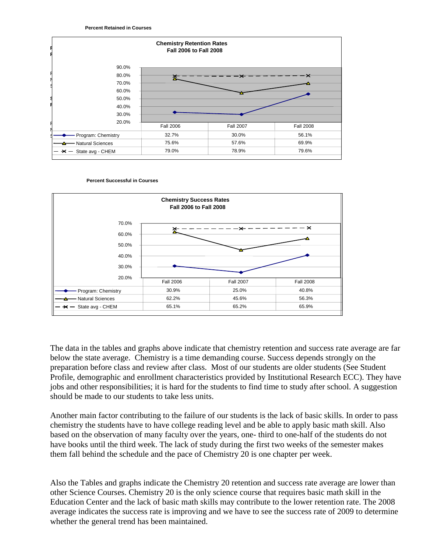





The data in the tables and graphs above indicate that chemistry retention and success rate average are far below the state average. Chemistry is a time demanding course. Success depends strongly on the preparation before class and review after class. Most of our students are older students (See Student Profile, demographic and enrollment characteristics provided by Institutional Research ECC). They have jobs and other responsibilities; it is hard for the students to find time to study after school. A suggestion should be made to our students to take less units.

Another main factor contributing to the failure of our students is the lack of basic skills. In order to pass chemistry the students have to have college reading level and be able to apply basic math skill. Also based on the observation of many faculty over the years, one- third to one-half of the students do not have books until the third week. The lack of study during the first two weeks of the semester makes them fall behind the schedule and the pace of Chemistry 20 is one chapter per week.

Also the Tables and graphs indicate the Chemistry 20 retention and success rate average are lower than other Science Courses. Chemistry 20 is the only science course that requires basic math skill in the Education Center and the lack of basic math skills may contribute to the lower retention rate. The 2008 average indicates the success rate is improving and we have to see the success rate of 2009 to determine whether the general trend has been maintained.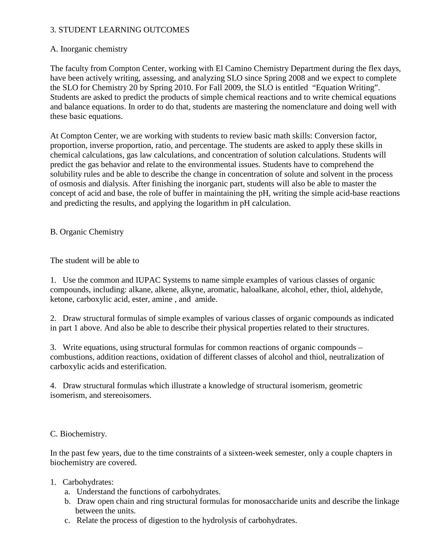#### 3. STUDENT LEARNING OUTCOMES

#### A. Inorganic chemistry

The faculty from Compton Center, working with El Camino Chemistry Department during the flex days, have been actively writing, assessing, and analyzing SLO since Spring 2008 and we expect to complete the SLO for Chemistry 20 by Spring 2010. For Fall 2009, the SLO is entitled "Equation Writing". Students are asked to predict the products of simple chemical reactions and to write chemical equations and balance equations. In order to do that, students are mastering the nomenclature and doing well with these basic equations.

At Compton Center, we are working with students to review basic math skills: Conversion factor, proportion, inverse proportion, ratio, and percentage. The students are asked to apply these skills in chemical calculations, gas law calculations, and concentration of solution calculations. Students will predict the gas behavior and relate to the environmental issues. Students have to comprehend the solubility rules and be able to describe the change in concentration of solute and solvent in the process of osmosis and dialysis. After finishing the inorganic part, students will also be able to master the concept of acid and base, the role of buffer in maintaining the pH, writing the simple acid-base reactions and predicting the results, and applying the logarithm in pH calculation.

### B. Organic Chemistry

The student will be able to

1. Use the common and IUPAC Systems to name simple examples of various classes of organic compounds, including: alkane, alkene, alkyne, aromatic, haloalkane, alcohol, ether, thiol, aldehyde, ketone, carboxylic acid, ester, amine , and amide.

2. Draw structural formulas of simple examples of various classes of organic compounds as indicated in part 1 above. And also be able to describe their physical properties related to their structures.

3. Write equations, using structural formulas for common reactions of organic compounds – combustions, addition reactions, oxidation of different classes of alcohol and thiol, neutralization of carboxylic acids and esterification.

4. Draw structural formulas which illustrate a knowledge of structural isomerism, geometric isomerism, and stereoisomers.

#### C. Biochemistry.

In the past few years, due to the time constraints of a sixteen-week semester, only a couple chapters in biochemistry are covered.

- 1. Carbohydrates:
	- a. Understand the functions of carbohydrates.
	- b. Draw open chain and ring structural formulas for monosaccharide units and describe the linkage between the units.
	- c. Relate the process of digestion to the hydrolysis of carbohydrates.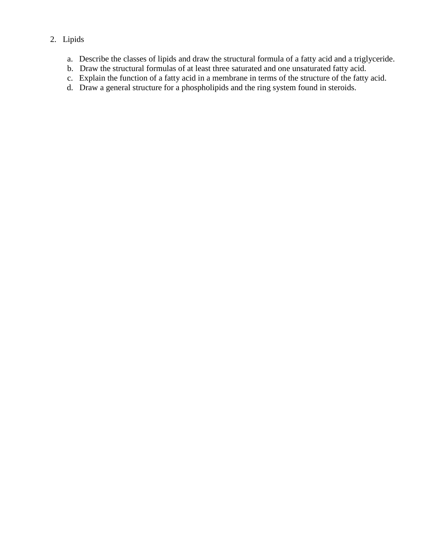## 2. Lipids

- a. Describe the classes of lipids and draw the structural formula of a fatty acid and a triglyceride.
- b. Draw the structural formulas of at least three saturated and one unsaturated fatty acid.
- c. Explain the function of a fatty acid in a membrane in terms of the structure of the fatty acid.
- d. Draw a general structure for a phospholipids and the ring system found in steroids.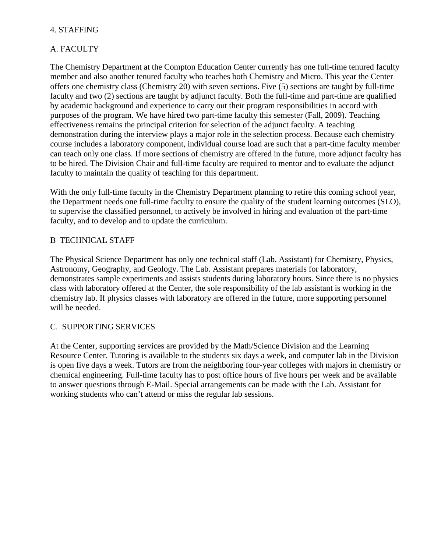#### 4. STAFFING

## A. FACULTY

The Chemistry Department at the Compton Education Center currently has one full-time tenured faculty member and also another tenured faculty who teaches both Chemistry and Micro. This year the Center offers one chemistry class (Chemistry 20) with seven sections. Five (5) sections are taught by full-time faculty and two (2) sections are taught by adjunct faculty. Both the full-time and part-time are qualified by academic background and experience to carry out their program responsibilities in accord with purposes of the program. We have hired two part-time faculty this semester (Fall, 2009). Teaching effectiveness remains the principal criterion for selection of the adjunct faculty. A teaching demonstration during the interview plays a major role in the selection process. Because each chemistry course includes a laboratory component, individual course load are such that a part-time faculty member can teach only one class. If more sections of chemistry are offered in the future, more adjunct faculty has to be hired. The Division Chair and full-time faculty are required to mentor and to evaluate the adjunct faculty to maintain the quality of teaching for this department.

With the only full-time faculty in the Chemistry Department planning to retire this coming school year, the Department needs one full-time faculty to ensure the quality of the student learning outcomes (SLO), to supervise the classified personnel, to actively be involved in hiring and evaluation of the part-time faculty, and to develop and to update the curriculum.

#### B TECHNICAL STAFF

The Physical Science Department has only one technical staff (Lab. Assistant) for Chemistry, Physics, Astronomy, Geography, and Geology. The Lab. Assistant prepares materials for laboratory, demonstrates sample experiments and assists students during laboratory hours. Since there is no physics class with laboratory offered at the Center, the sole responsibility of the lab assistant is working in the chemistry lab. If physics classes with laboratory are offered in the future, more supporting personnel will be needed.

#### C. SUPPORTING SERVICES

At the Center, supporting services are provided by the Math/Science Division and the Learning Resource Center. Tutoring is available to the students six days a week, and computer lab in the Division is open five days a week. Tutors are from the neighboring four-year colleges with majors in chemistry or chemical engineering. Full-time faculty has to post office hours of five hours per week and be available to answer questions through E-Mail. Special arrangements can be made with the Lab. Assistant for working students who can't attend or miss the regular lab sessions.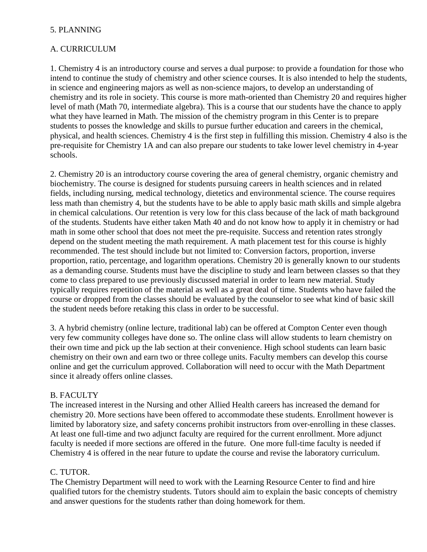#### 5. PLANNING

#### A. CURRICULUM

1. Chemistry 4 is an introductory course and serves a dual purpose: to provide a foundation for those who intend to continue the study of chemistry and other science courses. It is also intended to help the students, in science and engineering majors as well as non-science majors, to develop an understanding of chemistry and its role in society. This course is more math-oriented than Chemistry 20 and requires higher level of math (Math 70, intermediate algebra). This is a course that our students have the chance to apply what they have learned in Math. The mission of the chemistry program in this Center is to prepare students to posses the knowledge and skills to pursue further education and careers in the chemical, physical, and health sciences. Chemistry 4 is the first step in fulfilling this mission. Chemistry 4 also is the pre-requisite for Chemistry 1A and can also prepare our students to take lower level chemistry in 4-year schools.

2. Chemistry 20 is an introductory course covering the area of general chemistry, organic chemistry and biochemistry. The course is designed for students pursuing careers in health sciences and in related fields, including nursing, medical technology, dietetics and environmental science. The course requires less math than chemistry 4, but the students have to be able to apply basic math skills and simple algebra in chemical calculations. Our retention is very low for this class because of the lack of math background of the students. Students have either taken Math 40 and do not know how to apply it in chemistry or had math in some other school that does not meet the pre-requisite. Success and retention rates strongly depend on the student meeting the math requirement. A math placement test for this course is highly recommended. The test should include but not limited to: Conversion factors, proportion, inverse proportion, ratio, percentage, and logarithm operations. Chemistry 20 is generally known to our students as a demanding course. Students must have the discipline to study and learn between classes so that they come to class prepared to use previously discussed material in order to learn new material. Study typically requires repetition of the material as well as a great deal of time. Students who have failed the course or dropped from the classes should be evaluated by the counselor to see what kind of basic skill the student needs before retaking this class in order to be successful.

3. A hybrid chemistry (online lecture, traditional lab) can be offered at Compton Center even though very few community colleges have done so. The online class will allow students to learn chemistry on their own time and pick up the lab section at their convenience. High school students can learn basic chemistry on their own and earn two or three college units. Faculty members can develop this course online and get the curriculum approved. Collaboration will need to occur with the Math Department since it already offers online classes.

#### B. FACULTY

The increased interest in the Nursing and other Allied Health careers has increased the demand for chemistry 20. More sections have been offered to accommodate these students. Enrollment however is limited by laboratory size, and safety concerns prohibit instructors from over-enrolling in these classes. At least one full-time and two adjunct faculty are required for the current enrollment. More adjunct faculty is needed if more sections are offered in the future. One more full-time faculty is needed if Chemistry 4 is offered in the near future to update the course and revise the laboratory curriculum.

#### C. TUTOR.

The Chemistry Department will need to work with the Learning Resource Center to find and hire qualified tutors for the chemistry students. Tutors should aim to explain the basic concepts of chemistry and answer questions for the students rather than doing homework for them.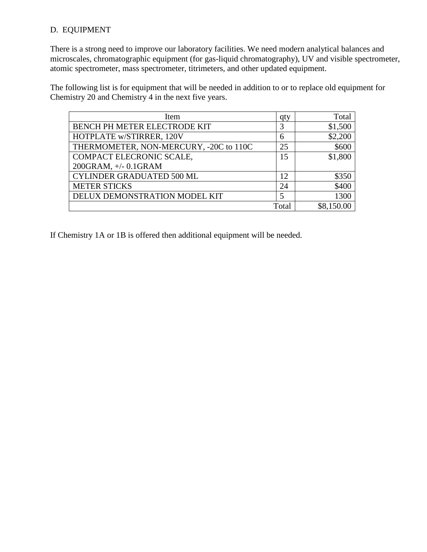### D. EQUIPMENT

There is a strong need to improve our laboratory facilities. We need modern analytical balances and microscales, chromatographic equipment (for gas-liquid chromatography), UV and visible spectrometer, atomic spectrometer, mass spectrometer, titrimeters, and other updated equipment.

The following list is for equipment that will be needed in addition to or to replace old equipment for Chemistry 20 and Chemistry 4 in the next five years.

| <b>Item</b>                            | qty   | Total      |
|----------------------------------------|-------|------------|
| BENCH PH METER ELECTRODE KIT           | 3     | \$1,500    |
| HOTPLATE w/STIRRER, 120V               | 6     | \$2,200    |
| THERMOMETER, NON-MERCURY, -20C to 110C | 25    | \$600      |
| COMPACT ELECRONIC SCALE,               | 15    | \$1,800    |
| 200GRAM, +/- 0.1GRAM                   |       |            |
| <b>CYLINDER GRADUATED 500 ML</b>       | 12    | \$350      |
| <b>METER STICKS</b>                    | 24    | \$400      |
| DELUX DEMONSTRATION MODEL KIT          | 5     | 1300       |
|                                        | Total | \$8,150.00 |

If Chemistry 1A or 1B is offered then additional equipment will be needed.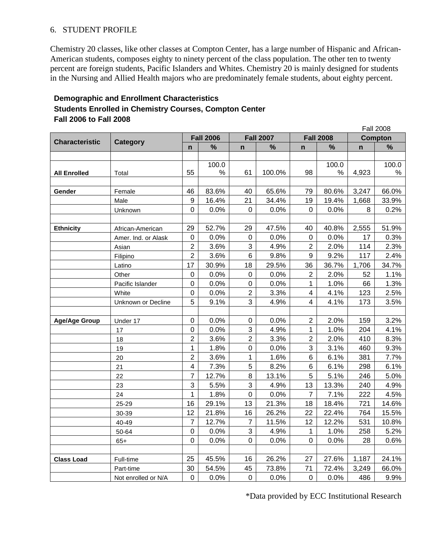#### 6. STUDENT PROFILE

Chemistry 20 classes, like other classes at Compton Center, has a large number of Hispanic and African-American students, composes eighty to ninety percent of the class population. The other ten to twenty percent are foreign students, Pacific Islanders and Whites. Chemistry 20 is mainly designed for students in the Nursing and Allied Health majors who are predominately female students, about eighty percent.

#### **Demographic and Enrollment Characteristics Students Enrolled in Chemistry Courses, Compton Center Fall 2006 to Fall 2008**

|                       | <b>Category</b>     |                         |       |                  |                  |                         |                  |                | Fall 2008 |  |
|-----------------------|---------------------|-------------------------|-------|------------------|------------------|-------------------------|------------------|----------------|-----------|--|
| <b>Characteristic</b> |                     | <b>Fall 2006</b>        |       |                  | <b>Fall 2007</b> |                         | <b>Fall 2008</b> | <b>Compton</b> |           |  |
|                       |                     | $\mathbf n$             | $\%$  | $\mathbf n$      | $\%$             | $\mathbf n$             | %                | n              | %         |  |
|                       |                     |                         | 100.0 |                  |                  |                         | 100.0            |                | 100.0     |  |
| <b>All Enrolled</b>   | Total               | 55                      | $\%$  | 61               | 100.0%           | 98                      | %                | 4,923          | $\%$      |  |
|                       |                     |                         |       |                  |                  |                         |                  |                |           |  |
| Gender                | Female              | 46                      | 83.6% | 40               | 65.6%            | 79                      | 80.6%            | 3,247          | 66.0%     |  |
|                       | Male                | $9\,$                   | 16.4% | 21               | 34.4%            | 19                      | 19.4%            | 1,668          | 33.9%     |  |
|                       | Unknown             | 0                       | 0.0%  | 0                | 0.0%             | $\Omega$                | 0.0%             | 8              | 0.2%      |  |
|                       |                     |                         |       |                  |                  |                         |                  |                |           |  |
| <b>Ethnicity</b>      | African-American    | 29                      | 52.7% | 29               | 47.5%            | 40                      | 40.8%            | 2,555          | 51.9%     |  |
|                       | Amer. Ind. or Alask | $\mathbf 0$             | 0.0%  | $\mathbf 0$      | 0.0%             | $\,0\,$                 | 0.0%             | 17             | 0.3%      |  |
|                       | Asian               | $\overline{2}$          | 3.6%  | 3                | 4.9%             | $\overline{2}$          | 2.0%             | 114            | 2.3%      |  |
|                       | Filipino            | $\overline{2}$          | 3.6%  | 6                | 9.8%             | 9                       | 9.2%             | 117            | 2.4%      |  |
|                       | Latino              | 17                      | 30.9% | 18               | 29.5%            | 36                      | 36.7%            | 1,706          | 34.7%     |  |
|                       | Other               | $\pmb{0}$               | 0.0%  | $\pmb{0}$        | 0.0%             | $\overline{2}$          | 2.0%             | 52             | 1.1%      |  |
|                       | Pacific Islander    | $\mathbf 0$             | 0.0%  | $\pmb{0}$        | 0.0%             | $\mathbf{1}$            | 1.0%             | 66             | 1.3%      |  |
|                       | White               | $\mathbf 0$             | 0.0%  | $\overline{2}$   | 3.3%             | $\overline{\mathbf{4}}$ | 4.1%             | 123            | 2.5%      |  |
|                       | Unknown or Decline  | 5                       | 9.1%  | 3                | 4.9%             | 4                       | 4.1%             | 173            | 3.5%      |  |
|                       |                     |                         |       |                  |                  |                         |                  |                |           |  |
| <b>Age/Age Group</b>  | Under 17            | $\boldsymbol{0}$        | 0.0%  | $\pmb{0}$        | 0.0%             | $\overline{2}$          | 2.0%             | 159            | 3.2%      |  |
|                       | 17                  | $\mathbf 0$             | 0.0%  | $\mathbf{3}$     | 4.9%             | 1                       | 1.0%             | 204            | 4.1%      |  |
|                       | 18                  | $\overline{2}$          | 3.6%  | $\overline{2}$   | 3.3%             | $\overline{2}$          | 2.0%             | 410            | 8.3%      |  |
|                       | 19                  | 1                       | 1.8%  | $\pmb{0}$        | 0.0%             | 3                       | 3.1%             | 460            | 9.3%      |  |
|                       | 20                  | $\overline{2}$          | 3.6%  | 1                | 1.6%             | 6                       | 6.1%             | 381            | 7.7%      |  |
|                       | 21                  | $\overline{\mathbf{4}}$ | 7.3%  | 5                | 8.2%             | 6                       | 6.1%             | 298            | 6.1%      |  |
|                       | 22                  | $\overline{7}$          | 12.7% | 8                | 13.1%            | 5                       | 5.1%             | 246            | 5.0%      |  |
|                       | 23                  | 3                       | 5.5%  | 3                | 4.9%             | 13                      | 13.3%            | 240            | 4.9%      |  |
|                       | 24                  | 1                       | 1.8%  | $\mathsf 0$      | 0.0%             | $\overline{7}$          | 7.1%             | 222            | 4.5%      |  |
|                       | 25-29               | 16                      | 29.1% | 13               | 21.3%            | 18                      | 18.4%            | 721            | 14.6%     |  |
|                       | 30-39               | 12                      | 21.8% | 16               | 26.2%            | 22                      | 22.4%            | 764            | 15.5%     |  |
|                       | 40-49               | $\overline{7}$          | 12.7% | $\overline{7}$   | 11.5%            | 12                      | 12.2%            | 531            | 10.8%     |  |
|                       | 50-64               | $\mathbf 0$             | 0.0%  | 3                | 4.9%             | 1                       | 1.0%             | 258            | $5.2\%$   |  |
|                       | $65+$               | 0                       | 0.0%  | $\mathbf 0$      | 0.0%             | 0                       | 0.0%             | 28             | 0.6%      |  |
|                       |                     |                         |       |                  |                  |                         |                  |                |           |  |
| <b>Class Load</b>     | Full-time           | 25                      | 45.5% | 16               | 26.2%            | 27                      | 27.6%            | 1,187          | 24.1%     |  |
|                       | Part-time           | 30                      | 54.5% | 45               | 73.8%            | 71                      | 72.4%            | 3,249          | 66.0%     |  |
|                       | Not enrolled or N/A | $\boldsymbol{0}$        | 0.0%  | $\boldsymbol{0}$ | 0.0%             | $\pmb{0}$               | 0.0%             | 486            | 9.9%      |  |

\*Data provided by ECC Institutional Research

 $F \cup 2222$